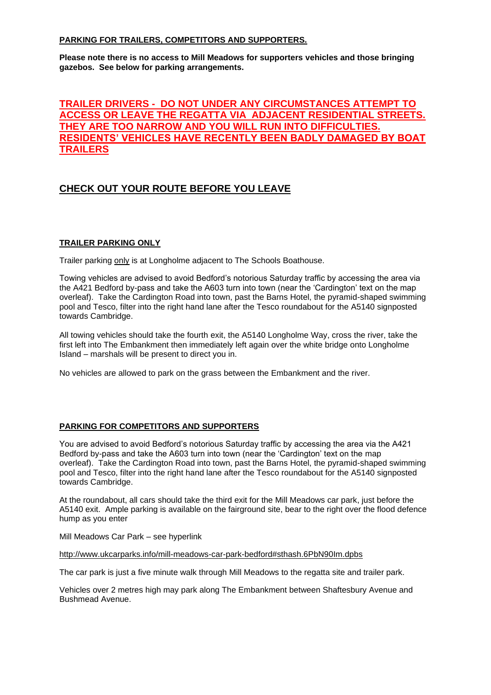### **PARKING FOR TRAILERS, COMPETITORS AND SUPPORTERS.**

**Please note there is no access to Mill Meadows for supporters vehicles and those bringing gazebos. See below for parking arrangements.** 

# **TRAILER DRIVERS - DO NOT UNDER ANY CIRCUMSTANCES ATTEMPT TO ACCESS OR LEAVE THE REGATTA VIA ADJACENT RESIDENTIAL STREETS. THEY ARE TOO NARROW AND YOU WILL RUN INTO DIFFICULTIES. RESIDENTS' VEHICLES HAVE RECENTLY BEEN BADLY DAMAGED BY BOAT TRAILERS**

# **CHECK OUT YOUR ROUTE BEFORE YOU LEAVE**

### **TRAILER PARKING ONLY**

Trailer parking only is at Longholme adjacent to The Schools Boathouse.

Towing vehicles are advised to avoid Bedford's notorious Saturday traffic by accessing the area via the A421 Bedford by-pass and take the A603 turn into town (near the 'Cardington' text on the map overleaf). Take the Cardington Road into town, past the Barns Hotel, the pyramid-shaped swimming pool and Tesco, filter into the right hand lane after the Tesco roundabout for the A5140 signposted towards Cambridge.

All towing vehicles should take the fourth exit, the A5140 Longholme Way, cross the river, take the first left into The Embankment then immediately left again over the white bridge onto Longholme Island – marshals will be present to direct you in.

No vehicles are allowed to park on the grass between the Embankment and the river.

#### **PARKING FOR COMPETITORS AND SUPPORTERS**

You are advised to avoid Bedford's notorious Saturday traffic by accessing the area via the A421 Bedford by-pass and take the A603 turn into town (near the 'Cardington' text on the map overleaf). Take the Cardington Road into town, past the Barns Hotel, the pyramid-shaped swimming pool and Tesco, filter into the right hand lane after the Tesco roundabout for the A5140 signposted towards Cambridge.

At the roundabout, all cars should take the third exit for the Mill Meadows car park, just before the A5140 exit. Ample parking is available on the fairground site, bear to the right over the flood defence hump as you enter

Mill Meadows Car Park – see hyperlink

<http://www.ukcarparks.info/mill-meadows-car-park-bedford#sthash.6PbN90Im.dpbs>

The car park is just a five minute walk through Mill Meadows to the regatta site and trailer park.

Vehicles over 2 metres high may park along The Embankment between Shaftesbury Avenue and Bushmead Avenue.